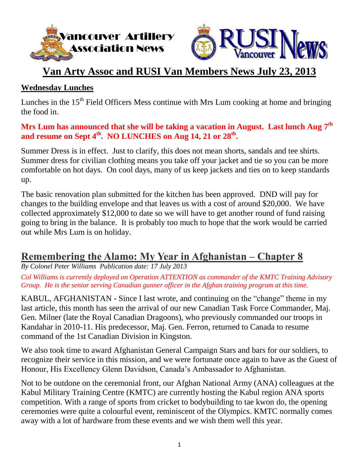



# **Van Arty Assoc and RUSI Van Members News July 23, 2013**

#### **Wednesday Lunches**

Lunches in the  $15<sup>th</sup>$  Field Officers Mess continue with Mrs Lum cooking at home and bringing the food in.

**Mrs Lum has announced that she will be taking a vacation in August. Last lunch Aug 7 th** and resume on Sept 4<sup>th</sup>. NO LUNCHES on Aug 14, 21 or 28<sup>th</sup>.

Summer Dress is in effect. Just to clarify, this does not mean shorts, sandals and tee shirts. Summer dress for civilian clothing means you take off your jacket and tie so you can be more comfortable on hot days. On cool days, many of us keep jackets and ties on to keep standards up.

The basic renovation plan submitted for the kitchen has been approved. DND will pay for changes to the building envelope and that leaves us with a cost of around \$20,000. We have collected approximately \$12,000 to date so we will have to get another round of fund raising going to bring in the balance. It is probably too much to hope that the work would be carried out while Mrs Lum is on holiday.

## **Remembering the Alamo: My Year in Afghanistan – Chapter 8**

*By Colonel Peter Williams Publication date: 17 July 2013*

*Col Williams is currently deployed on Operation ATTENTION as commander of the KMTC Training Advisory Group. He is the senior serving Canadian gunner officer in the Afghan training program at this time.*

KABUL, AFGHANISTAN - Since I last wrote, and continuing on the "change" theme in my last article, this month has seen the arrival of our new Canadian Task Force Commander, Maj. Gen. Milner (late the Royal Canadian Dragoons), who previously commanded our troops in Kandahar in 2010-11. His predecessor, Maj. Gen. Ferron, returned to Canada to resume command of the 1st Canadian Division in Kingston.

We also took time to award Afghanistan General Campaign Stars and bars for our soldiers, to recognize their service in this mission, and we were fortunate once again to have as the Guest of Honour, His Excellency Glenn Davidson, Canada's Ambassador to Afghanistan.

Not to be outdone on the ceremonial front, our Afghan National Army (ANA) colleagues at the Kabul Military Training Centre (KMTC) are currently hosting the Kabul region ANA sports competition. With a range of sports from cricket to bodybuilding to tae kwon do, the opening ceremonies were quite a colourful event, reminiscent of the Olympics. KMTC normally comes away with a lot of hardware from these events and we wish them well this year.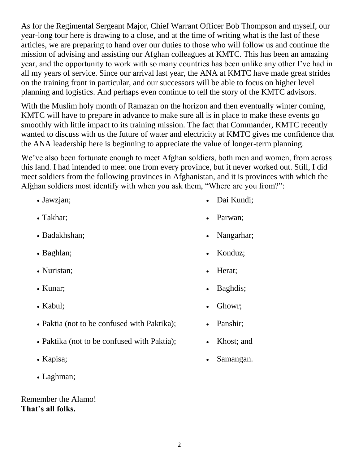As for the Regimental Sergeant Major, Chief Warrant Officer Bob Thompson and myself, our year-long tour here is drawing to a close, and at the time of writing what is the last of these articles, we are preparing to hand over our duties to those who will follow us and continue the mission of advising and assisting our Afghan colleagues at KMTC. This has been an amazing year, and the opportunity to work with so many countries has been unlike any other I've had in all my years of service. Since our arrival last year, the ANA at KMTC have made great strides on the training front in particular, and our successors will be able to focus on higher level planning and logistics. And perhaps even continue to tell the story of the KMTC advisors.

With the Muslim holy month of Ramazan on the horizon and then eventually winter coming, KMTC will have to prepare in advance to make sure all is in place to make these events go smoothly with little impact to its training mission. The fact that Commander, KMTC recently wanted to discuss with us the future of water and electricity at KMTC gives me confidence that the ANA leadership here is beginning to appreciate the value of longer-term planning.

We've also been fortunate enough to meet Afghan soldiers, both men and women, from across this land. I had intended to meet one from every province, but it never worked out. Still, I did meet soldiers from the following provinces in Afghanistan, and it is provinces with which the Afghan soldiers most identify with when you ask them, "Where are you from?":

- 
- 
- 
- 
- Nuristan; **Herati** Herat;
- 
- 
- Paktia (not to be confused with Paktika): Panshir:
- Paktika (not to be confused with Paktia); Khost; and
- 
- Laghman;

Remember the Alamo! **That's all folks.**

- Jawzjan; Dai Kundi;
- Takhar; Parwan;
- Badakhshan; Nangarhar; Nangarhar; Nangarhar; Nangarhar; Nangarhar; Nangarhar; Nangarhar; Nangarhar; Nangarhar; Nangarhar; Nangarhar; Nangarhar; Nangarhar; Nangarhar; Nangarhar; Nangarhar; Nangarhar; Nangarhar; Nangarhar;
- Baghlan; Konduz;
	-
- Kunar; Baghdis;
- Kabul; Ghowr;
	-
	-
- Kapisa; Samangan.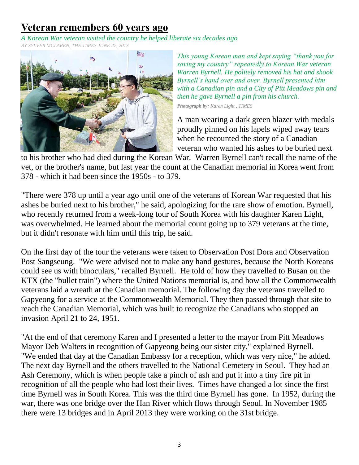# **Veteran remembers 60 years ago**

*A Korean War veteran visited the country he helped liberate six decades ago*

*BY SYLVER MCLAREN, THE TIMES JUNE 27, 2013*



*This young Korean man and kept saying "thank you for saving my country" repeatedly to Korean War veteran Warren Byrnell. He politely removed his hat and shook Byrnell's hand over and over. Byrnell presented him with a Canadian pin and a City of Pitt Meadows pin and then he gave Byrnell a pin from his church.*

*Photograph by: Karen Light , TIMES*

A man wearing a dark green blazer with medals proudly pinned on his lapels wiped away tears when he recounted the story of a Canadian veteran who wanted his ashes to be buried next

to his brother who had died during the Korean War. Warren Byrnell can't recall the name of the vet, or the brother's name, but last year the count at the Canadian memorial in Korea went from 378 - which it had been since the 1950s - to 379.

"There were 378 up until a year ago until one of the veterans of Korean War requested that his ashes be buried next to his brother," he said, apologizing for the rare show of emotion. Byrnell, who recently returned from a week-long tour of South Korea with his daughter Karen Light, was overwhelmed. He learned about the memorial count going up to 379 veterans at the time, but it didn't resonate with him until this trip, he said.

On the first day of the tour the veterans were taken to Observation Post Dora and Observation Post Sangseung. "We were advised not to make any hand gestures, because the North Koreans could see us with binoculars," recalled Byrnell. He told of how they travelled to Busan on the KTX (the "bullet train") where the United Nations memorial is, and how all the Commonwealth veterans laid a wreath at the Canadian memorial. The following day the veterans travelled to Gapyeong for a service at the Commonwealth Memorial. They then passed through that site to reach the Canadian Memorial, which was built to recognize the Canadians who stopped an invasion April 21 to 24, 1951.

"At the end of that ceremony Karen and I presented a letter to the mayor from Pitt Meadows Mayor Deb Walters in recognition of Gapyeong being our sister city," explained Byrnell. "We ended that day at the Canadian Embassy for a reception, which was very nice," he added. The next day Byrnell and the others travelled to the National Cemetery in Seoul. They had an Ash Ceremony, which is when people take a pinch of ash and put it into a tiny fire pit in recognition of all the people who had lost their lives. Times have changed a lot since the first time Byrnell was in South Korea. This was the third time Byrnell has gone. In 1952, during the war, there was one bridge over the Han River which flows through Seoul. In November 1985 there were 13 bridges and in April 2013 they were working on the 31st bridge.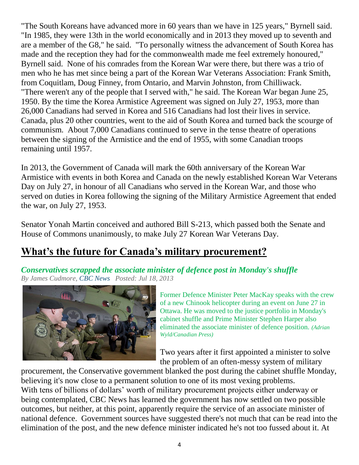"The South Koreans have advanced more in 60 years than we have in 125 years," Byrnell said. "In 1985, they were 13th in the world economically and in 2013 they moved up to seventh and are a member of the G8," he said. "To personally witness the advancement of South Korea has made and the reception they had for the commonwealth made me feel extremely honoured," Byrnell said. None of his comrades from the Korean War were there, but there was a trio of men who he has met since being a part of the Korean War Veterans Association: Frank Smith, from Coquitlam, Doug Finney, from Ontario, and Marvin Johnston, from Chilliwack. "There weren't any of the people that I served with," he said. The Korean War began June 25, 1950. By the time the Korea Armistice Agreement was signed on July 27, 1953, more than 26,000 Canadians had served in Korea and 516 Canadians had lost their lives in service. Canada, plus 20 other countries, went to the aid of South Korea and turned back the scourge of communism. About 7,000 Canadians continued to serve in the tense theatre of operations between the signing of the Armistice and the end of 1955, with some Canadian troops remaining until 1957.

In 2013, the Government of Canada will mark the 60th anniversary of the Korean War Armistice with events in both Korea and Canada on the newly established Korean War Veterans Day on July 27, in honour of all Canadians who served in the Korean War, and those who served on duties in Korea following the signing of the Military Armistice Agreement that ended the war, on July 27, 1953.

Senator Yonah Martin conceived and authored Bill S-213, which passed both the Senate and House of Commons unanimously, to make July 27 Korean War Veterans Day.

# **What's the future for Canada's military procurement?**

*Conservatives scrapped the associate minister of defence post in Monday's shuffle By James Cudmore, CBC News Posted: Jul 18, 2013* 



Former Defence Minister Peter MacKay speaks with the crew of a new Chinook helicopter during an event on June 27 in Ottawa. He was moved to the justice portfolio in Monday's cabinet shuffle and Prime Minister Stephen Harper also eliminated the associate minister of defence position. *(Adrian Wyld/Canadian Press)*

Two years after it first appointed a minister to solve the problem of an often-messy system of military

procurement, the Conservative government blanked the post during the cabinet shuffle Monday, believing it's now close to a permanent solution to one of its most vexing problems. With tens of billions of dollars' worth of military procurement projects either underway or being contemplated, CBC News has learned the government has now settled on two possible outcomes, but neither, at this point, apparently require the service of an associate minister of national defence. Government sources have suggested there's not much that can be read into the elimination of the post, and the new defence minister indicated he's not too fussed about it. At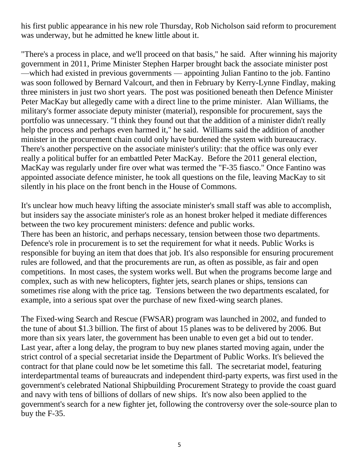his first public appearance in his new role Thursday, Rob Nicholson said reform to procurement was underway, but he admitted he knew little about it.

"There's a process in place, and we'll proceed on that basis," he said. After winning his majority government in 2011, Prime Minister Stephen Harper brought back the associate minister post —which had existed in previous governments — appointing Julian Fantino to the job. Fantino was soon followed by Bernard Valcourt, and then in February by Kerry-Lynne Findlay, making three ministers in just two short years. The post was positioned beneath then Defence Minister Peter MacKay but allegedly came with a direct line to the prime minister. Alan Williams, the military's former associate deputy minister (material), responsible for procurement, says the portfolio was unnecessary. "I think they found out that the addition of a minister didn't really help the process and perhaps even harmed it," he said. Williams said the addition of another minister in the procurement chain could only have burdened the system with bureaucracy. There's another perspective on the associate minister's utility: that the office was only ever really a political buffer for an embattled Peter MacKay. Before the 2011 general election, MacKay was regularly under fire over what was termed the "F-35 fiasco." Once Fantino was appointed associate defence minister, he took all questions on the file, leaving MacKay to sit silently in his place on the front bench in the House of Commons.

It's unclear how much heavy lifting the associate minister's small staff was able to accomplish, but insiders say the associate minister's role as an honest broker helped it mediate differences between the two key procurement ministers: defence and public works. There has been an historic, and perhaps necessary, tension between those two departments. Defence's role in procurement is to set the requirement for what it needs. Public Works is responsible for buying an item that does that job. It's also responsible for ensuring procurement rules are followed, and that the procurements are run, as often as possible, as fair and open competitions. In most cases, the system works well. But when the programs become large and complex, such as with new helicopters, fighter jets, search planes or ships, tensions can sometimes rise along with the price tag. Tensions between the two departments escalated, for example, into a serious spat over the purchase of new fixed-wing search planes.

The Fixed-wing Search and Rescue (FWSAR) program was launched in 2002, and funded to the tune of about \$1.3 billion. The first of about 15 planes was to be delivered by 2006. But more than six years later, the government has been unable to even get a bid out to tender. Last year, after a long delay, the program to buy new planes started moving again, under the strict control of a special secretariat inside the Department of Public Works. It's believed the contract for that plane could now be let sometime this fall. The secretariat model, featuring interdepartmental teams of bureaucrats and independent third-party experts, was first used in the government's celebrated National Shipbuilding Procurement Strategy to provide the coast guard and navy with tens of billions of dollars of new ships. It's now also been applied to the government's search for a new fighter jet, following the controversy over the sole-source plan to buy the F-35.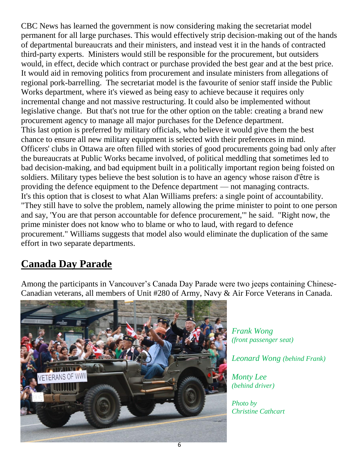CBC News has learned the government is now considering making the secretariat model permanent for all large purchases. This would effectively strip decision-making out of the hands of departmental bureaucrats and their ministers, and instead vest it in the hands of contracted third-party experts. Ministers would still be responsible for the procurement, but outsiders would, in effect, decide which contract or purchase provided the best gear and at the best price. It would aid in removing politics from procurement and insulate ministers from allegations of regional pork-barrelling. The secretariat model is the favourite of senior staff inside the Public Works department, where it's viewed as being easy to achieve because it requires only incremental change and not massive restructuring. It could also be implemented without legislative change. But that's not true for the other option on the table: creating a brand new procurement agency to manage all major purchases for the Defence department. This last option is preferred by military officials, who believe it would give them the best chance to ensure all new military equipment is selected with their preferences in mind. Officers' clubs in Ottawa are often filled with stories of good procurements going bad only after the bureaucrats at Public Works became involved, of political meddling that sometimes led to bad decision-making, and bad equipment built in a politically important region being foisted on soldiers. Military types believe the best solution is to have an agency whose raison d'être is providing the defence equipment to the Defence department — not managing contracts. It's this option that is closest to what Alan Williams prefers: a single point of accountability. "They still have to solve the problem, namely allowing the prime minister to point to one person and say, 'You are that person accountable for defence procurement,'" he said. "Right now, the prime minister does not know who to blame or who to laud, with regard to defence procurement." Williams suggests that model also would eliminate the duplication of the same effort in two separate departments.

# **Canada Day Parade**

Among the participants in Vancouver's Canada Day Parade were two jeeps containing Chinese-Canadian veterans, all members of Unit #280 of Army, Navy & Air Force Veterans in Canada.



*Frank Wong (front passenger seat)*

*Leonard Wong (behind Frank)*

*Monty Lee (behind driver)*

*Photo by Christine Cathcart*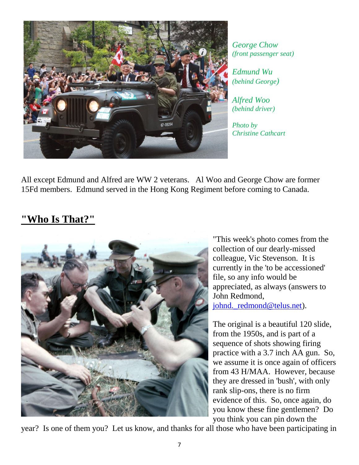

*George Chow (front passenger seat)*

*Edmund Wu (behind George)*

*Alfred Woo (behind driver)*

*Photo by Christine Cathcart*

All except Edmund and Alfred are WW 2 veterans. Al Woo and George Chow are former 15Fd members. Edmund served in the Hong Kong Regiment before coming to Canada.

### **"Who Is That?"**



"This week's photo comes from the collection of our dearly-missed colleague, Vic Stevenson. It is currently in the 'to be accessioned' file, so any info would be appreciated, as always (answers to John Redmond, johnd. redmond@telus.net).

The original is a beautiful 120 slide, from the 1950s, and is part of a sequence of shots showing firing practice with a 3.7 inch AA gun. So, we assume it is once again of officers from 43 H/MAA. However, because they are dressed in 'bush', with only rank slip-ons, there is no firm evidence of this. So, once again, do you know these fine gentlemen? Do you think you can pin down the

year? Is one of them you? Let us know, and thanks for all those who have been participating in